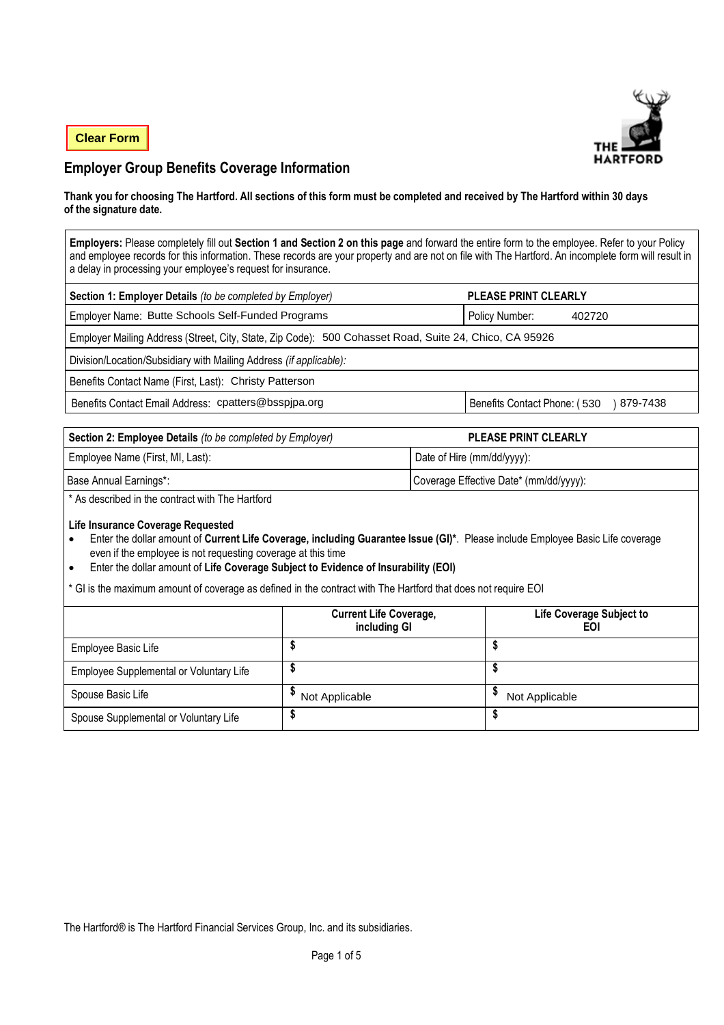**Clear Form**



# **Employer Group Benefits Coverage Information**

#### **Thank you for choosing The Hartford. All sections of this form must be completed and received by The Hartford within 30 days of the signature date.**

**Employers:** Please completely fill out **Section 1 and Section 2 on this page** and forward the entire form to the employee. Refer to your Policy and employee records for this information. These records are your property and are not on file with The Hartford. An incomplete form will result in a delay in processing your employee's request for insurance.

| Section 1: Employer Details (to be completed by Employer)                                              | <b>PLEASE PRINT CLEARLY</b>              |  |  |  |  |
|--------------------------------------------------------------------------------------------------------|------------------------------------------|--|--|--|--|
| Employer Name: Butte Schools Self-Funded Programs                                                      | Policy Number:<br>402720                 |  |  |  |  |
| Employer Mailing Address (Street, City, State, Zip Code): 500 Cohasset Road, Suite 24, Chico, CA 95926 |                                          |  |  |  |  |
| Division/Location/Subsidiary with Mailing Address (if applicable):                                     |                                          |  |  |  |  |
| Benefits Contact Name (First, Last): Christy Patterson                                                 |                                          |  |  |  |  |
| Benefits Contact Email Address: cpatters@bsspjpa.org                                                   | Benefits Contact Phone: (530<br>879-7438 |  |  |  |  |

| Section 2: Employee Details (to be completed by Employer) | <b>PLEASE PRINT CLEARLY</b>            |
|-----------------------------------------------------------|----------------------------------------|
| Employee Name (First, MI, Last):                          | Date of Hire (mm/dd/yyyy):             |
| Base Annual Earnings*:                                    | Coverage Effective Date* (mm/dd/yyyy): |

\* As described in the contract with The Hartford

### **Life Insurance Coverage Requested**

- Enter the dollar amount of **Current Life Coverage, including Guarantee Issue (GI)\***. Please include Employee Basic Life coverage even if the employee is not requesting coverage at this time
- Enter the dollar amount of **Life Coverage Subject to Evidence of Insurability (EOI)**

GI is the maximum amount of coverage as defined in the contract with The Hartford that does not require EOI

|                                         | <b>Current Life Coverage,</b><br>including GI | Life Coverage Subject to<br>EOI |
|-----------------------------------------|-----------------------------------------------|---------------------------------|
| Employee Basic Life                     |                                               |                                 |
| Employee Supplemental or Voluntary Life |                                               |                                 |
| Spouse Basic Life                       | Not Applicable                                | Not Applicable                  |
| Spouse Supplemental or Voluntary Life   |                                               |                                 |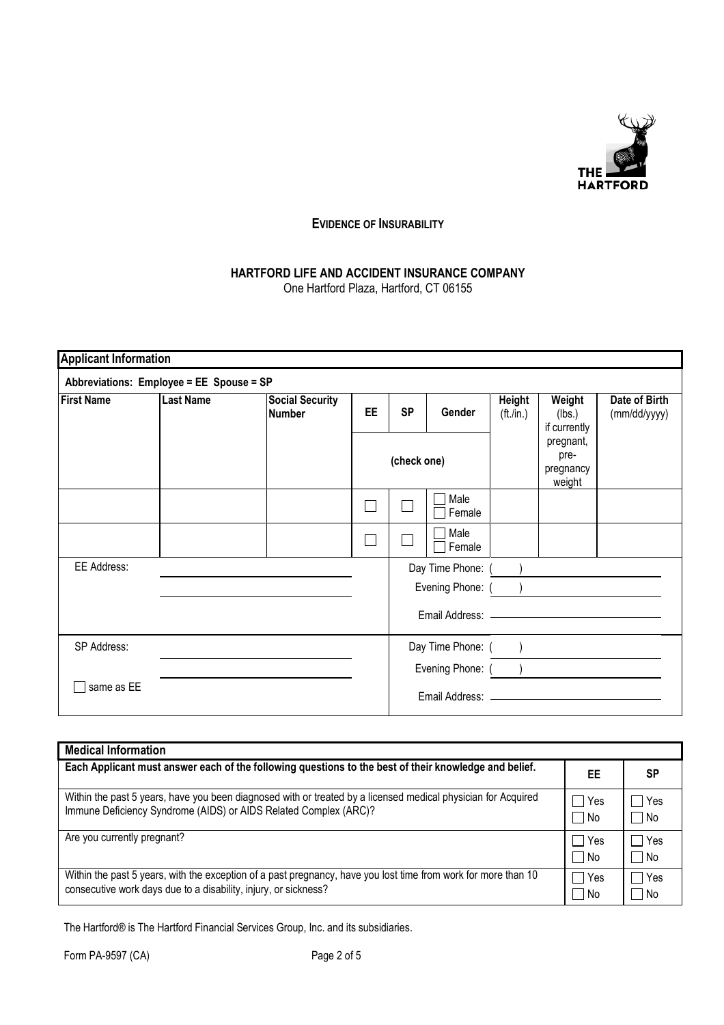

## **EVIDENCE OF INSURABILITY**

# **HARTFORD LIFE AND ACCIDENT INSURANCE COMPANY**

One Hartford Plaza, Hartford, CT 06155

| <b>Applicant Information</b> |                                          |                                         |             |           |                    |                               |                                          |                               |
|------------------------------|------------------------------------------|-----------------------------------------|-------------|-----------|--------------------|-------------------------------|------------------------------------------|-------------------------------|
|                              | Abbreviations: Employee = EE Spouse = SP |                                         |             |           |                    |                               |                                          |                               |
| <b>First Name</b>            | <b>Last Name</b>                         | <b>Social Security</b><br><b>Number</b> | <b>EE</b>   | <b>SP</b> | Gender             | Height<br>$(\text{ft}$ ./in.) | Weight<br>(lbs.)<br>if currently         | Date of Birth<br>(mm/dd/yyyy) |
|                              |                                          |                                         | (check one) |           |                    |                               | pregnant,<br>pre-<br>pregnancy<br>weight |                               |
|                              |                                          |                                         |             |           | Male<br>Female     |                               |                                          |                               |
|                              |                                          |                                         |             |           | Male<br>Female     |                               |                                          |                               |
| EE Address:                  |                                          |                                         |             |           | Day Time Phone: () |                               |                                          |                               |
|                              |                                          |                                         |             |           | Evening Phone: (   |                               |                                          |                               |
|                              |                                          |                                         |             |           |                    |                               |                                          |                               |
| SP Address:                  |                                          |                                         |             |           | Day Time Phone: () |                               |                                          |                               |
|                              |                                          |                                         |             |           | Evening Phone: ()  |                               |                                          |                               |
| same as EE                   |                                          |                                         |             |           |                    |                               |                                          |                               |

| <b>Medical Information</b>                                                                                                                                                        |             |               |
|-----------------------------------------------------------------------------------------------------------------------------------------------------------------------------------|-------------|---------------|
| Each Applicant must answer each of the following questions to the best of their knowledge and belief.                                                                             | EE          | SP            |
| Within the past 5 years, have you been diagnosed with or treated by a licensed medical physician for Acquired<br>Immune Deficiency Syndrome (AIDS) or AIDS Related Complex (ARC)? | Yes<br>l No | ∣ Yes<br>l No |
| Are you currently pregnant?                                                                                                                                                       | Yes<br>l No | l Yes<br>l No |
| Within the past 5 years, with the exception of a past pregnancy, have you lost time from work for more than 10<br>consecutive work days due to a disability, injury, or sickness? | Yes<br>l No | □ Yes<br>l No |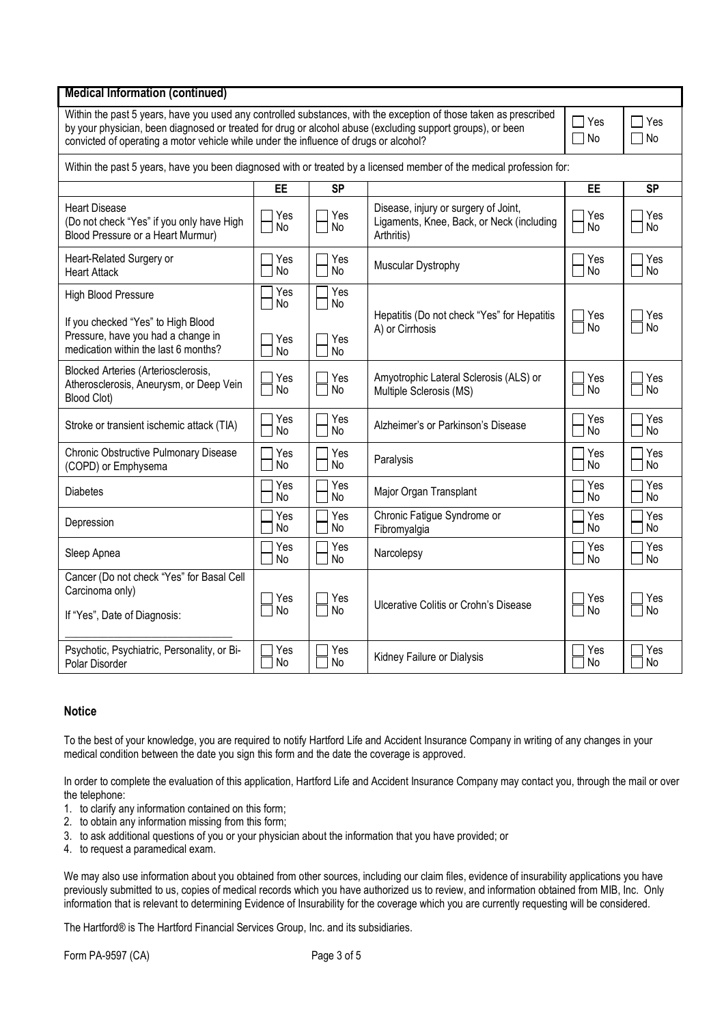| <b>Medical Information (continued)</b>                                                                                                                                                                                                                                                                                   |                       |                  |                                                                                                 |           |                           |  |  |
|--------------------------------------------------------------------------------------------------------------------------------------------------------------------------------------------------------------------------------------------------------------------------------------------------------------------------|-----------------------|------------------|-------------------------------------------------------------------------------------------------|-----------|---------------------------|--|--|
| Within the past 5 years, have you used any controlled substances, with the exception of those taken as prescribed<br>by your physician, been diagnosed or treated for drug or alcohol abuse (excluding support groups), or been<br>convicted of operating a motor vehicle while under the influence of drugs or alcohol? |                       |                  |                                                                                                 |           | $\sqcap$ Yes<br>$\Box$ No |  |  |
| Within the past 5 years, have you been diagnosed with or treated by a licensed member of the medical profession for:                                                                                                                                                                                                     |                       |                  |                                                                                                 |           |                           |  |  |
|                                                                                                                                                                                                                                                                                                                          | <b>EE</b>             | <b>SP</b>        |                                                                                                 | EE        | <b>SP</b>                 |  |  |
| <b>Heart Disease</b><br>(Do not check "Yes" if you only have High<br>Blood Pressure or a Heart Murmur)                                                                                                                                                                                                                   | Yes<br>No             | Yes<br>No        | Disease, injury or surgery of Joint,<br>Ligaments, Knee, Back, or Neck (including<br>Arthritis) | Yes<br>No | Yes<br>No                 |  |  |
| Heart-Related Surgery or<br><b>Heart Attack</b>                                                                                                                                                                                                                                                                          | Yes<br><b>No</b>      | Yes<br><b>No</b> | Muscular Dystrophy                                                                              | Yes<br>No | Yes<br>No                 |  |  |
| High Blood Pressure                                                                                                                                                                                                                                                                                                      | Yes<br>No             | Yes<br><b>No</b> |                                                                                                 |           |                           |  |  |
| If you checked "Yes" to High Blood<br>Pressure, have you had a change in<br>medication within the last 6 months?                                                                                                                                                                                                         | Yes<br>No             | Yes<br>No        | Hepatitis (Do not check "Yes" for Hepatitis<br>A) or Cirrhosis                                  | Yes<br>No | Yes<br>No.                |  |  |
| Blocked Arteries (Arteriosclerosis,<br>Atherosclerosis, Aneurysm, or Deep Vein<br>Blood Clot)                                                                                                                                                                                                                            | Yes<br>No             | Yes<br>No        | Amyotrophic Lateral Sclerosis (ALS) or<br>Multiple Sclerosis (MS)                               | Yes<br>No | Yes<br>No                 |  |  |
| Stroke or transient ischemic attack (TIA)                                                                                                                                                                                                                                                                                | Yes<br><b>No</b>      | Yes<br><b>No</b> | Alzheimer's or Parkinson's Disease                                                              | Yes<br>No | Yes<br><b>No</b>          |  |  |
| Chronic Obstructive Pulmonary Disease<br>(COPD) or Emphysema                                                                                                                                                                                                                                                             | Yes<br>No             | Yes<br><b>No</b> | Paralysis                                                                                       | Yes<br>No | Yes<br>No                 |  |  |
| <b>Diabetes</b>                                                                                                                                                                                                                                                                                                          | Yes<br>No             | Yes<br><b>No</b> | Major Organ Transplant                                                                          | Yes<br>No | Yes<br>No                 |  |  |
| Depression                                                                                                                                                                                                                                                                                                               | Yes<br>N <sub>o</sub> | Yes<br><b>No</b> | Chronic Fatigue Syndrome or<br>Fibromyalgia                                                     | Yes<br>No | Yes<br>No                 |  |  |
| Sleep Apnea                                                                                                                                                                                                                                                                                                              | Yes<br><b>No</b>      | Yes<br><b>No</b> | Narcolepsy                                                                                      | Yes<br>No | Yes<br>No                 |  |  |
| Cancer (Do not check "Yes" for Basal Cell<br>Carcinoma only)                                                                                                                                                                                                                                                             | Yes                   | Yes              |                                                                                                 | Yes       | Yes                       |  |  |
| If "Yes", Date of Diagnosis:                                                                                                                                                                                                                                                                                             | <b>No</b>             | <b>No</b>        | Ulcerative Colitis or Crohn's Disease                                                           | <b>No</b> | <b>No</b>                 |  |  |
| Psychotic, Psychiatric, Personality, or Bi-<br>Polar Disorder                                                                                                                                                                                                                                                            | Yes<br>No             | Yes<br>No        | Kidney Failure or Dialysis                                                                      | Yes<br>No | Yes<br>No                 |  |  |

### **Notice**

To the best of your knowledge, you are required to notify Hartford Life and Accident Insurance Company in writing of any changes in your medical condition between the date you sign this form and the date the coverage is approved.

In order to complete the evaluation of this application, Hartford Life and Accident Insurance Company may contact you, through the mail or over the telephone:

- 1. to clarify any information contained on this form;
- 2. to obtain any information missing from this form;
- 3. to ask additional questions of you or your physician about the information that you have provided; or
- 4. to request a paramedical exam.

We may also use information about you obtained from other sources, including our claim files, evidence of insurability applications you have previously submitted to us, copies of medical records which you have authorized us to review, and information obtained from MIB, Inc. Only information that is relevant to determining Evidence of Insurability for the coverage which you are currently requesting will be considered.

The Hartford® is The Hartford Financial Services Group, Inc. and its subsidiaries.

Form PA-9597 (CA) Page 3 of 5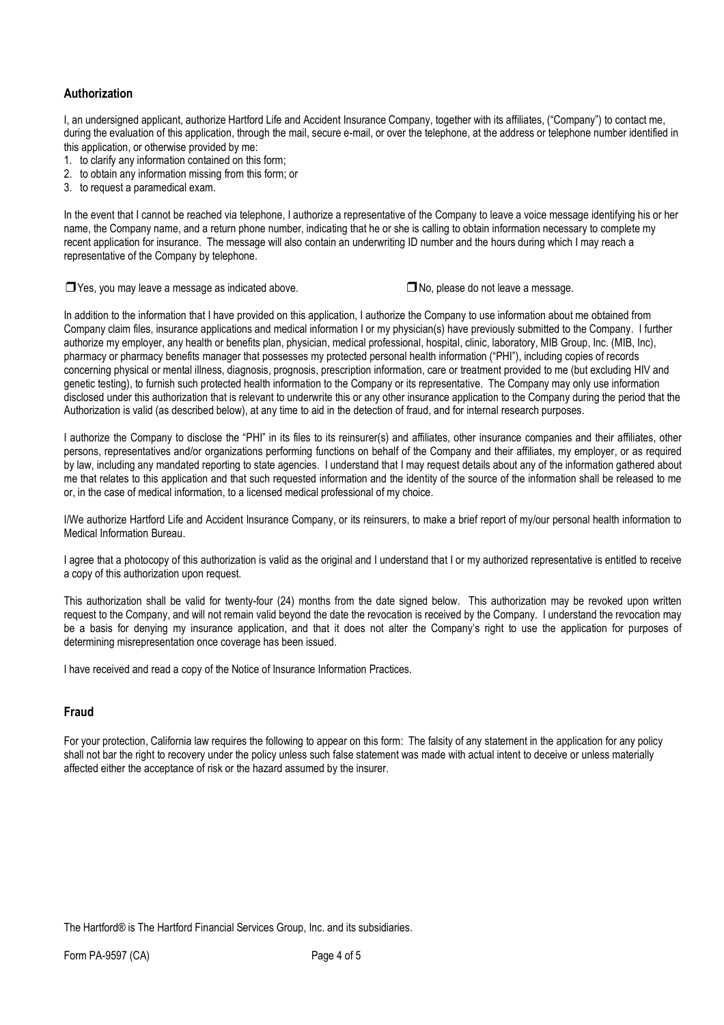### **Authorization**

I, an undersigned applicant, authorize Hartford Life and Accident Insurance Company, together with its affiliates, ("Company") to contact me, during the evaluation of this application, through the mail, secure e-mail, or over the telephone, at the address or telephone number identified in this application, or otherwise provided by me:

- 1. to clarify any information contained on this form;
- 2. to obtain any information missing from this form; or
- 3. to request a paramedical exam.

In the event that I cannot be reached via telephone, I authorize a representative of the Company to leave a voice message identifying his or her name, the Company name, and a return phone number, indicating that he or she is calling to obtain information necessary to complete my recent application for insurance. The message will also contain an underwriting ID number and the hours during which I may reach a representative of the Company by telephone.

❒Yes, you may leave a message as indicated above. ❒No, please do not leave a message.

In addition to the information that I have provided on this application, I authorize the Company to use information about me obtained from Company claim files, insurance applications and medical information I or my physician(s) have previously submitted to the Company. I further authorize my employer, any health or benefits plan, physician, medical professional, hospital, clinic, laboratory, MIB Group, Inc. (MIB, Inc), pharmacy or pharmacy benefits manager that possesses my protected personal health information ("PHI"), including copies of records concerning physical or mental illness, diagnosis, prognosis, prescription information, care or treatment provided to me (but excluding HIV and genetic testing), to furnish such protected health information to the Company or its representative. The Company may only use information disclosed under this authorization that is relevant to underwrite this or any other insurance application to the Company during the period that the Authorization is valid (as described below), at any time to aid in the detection of fraud, and for internal research purposes.

I authorize the Company to disclose the "PHI" in its files to its reinsurer(s) and affiliates, other insurance companies and their affiliates, other persons, representatives and/or organizations performing functions on behalf of the Company and their affiliates, my employer, or as required by law, including any mandated reporting to state agencies. I understand that I may request details about any of the information gathered about me that relates to this application and that such requested information and the identity of the source of the information shall be released to me or, in the case of medical information, to a licensed medical professional of my choice.

I/We authorize Hartford Life and Accident Insurance Company, or its reinsurers, to make a brief report of my/our personal health information to Medical Information Bureau.

I agree that a photocopy of this authorization is valid as the original and I understand that I or my authorized representative is entitled to receive a copy of this authorization upon request.

This authorization shall be valid for twenty-four (24) months from the date signed below. This authorization may be revoked upon written request to the Company, and will not remain valid beyond the date the revocation is received by the Company. I understand the revocation may be a basis for denying my insurance application, and that it does not alter the Company's right to use the application for purposes of determining misrepresentation once coverage has been issued.

I have received and read a copy of the Notice of Insurance Information Practices.

### **Fraud**

For your protection, California law requires the following to appear on this form: The falsity of any statement in the application for any policy shall not bar the right to recovery under the policy unless such false statement was made with actual intent to deceive or unless materially affected either the acceptance of risk or the hazard assumed by the insurer.